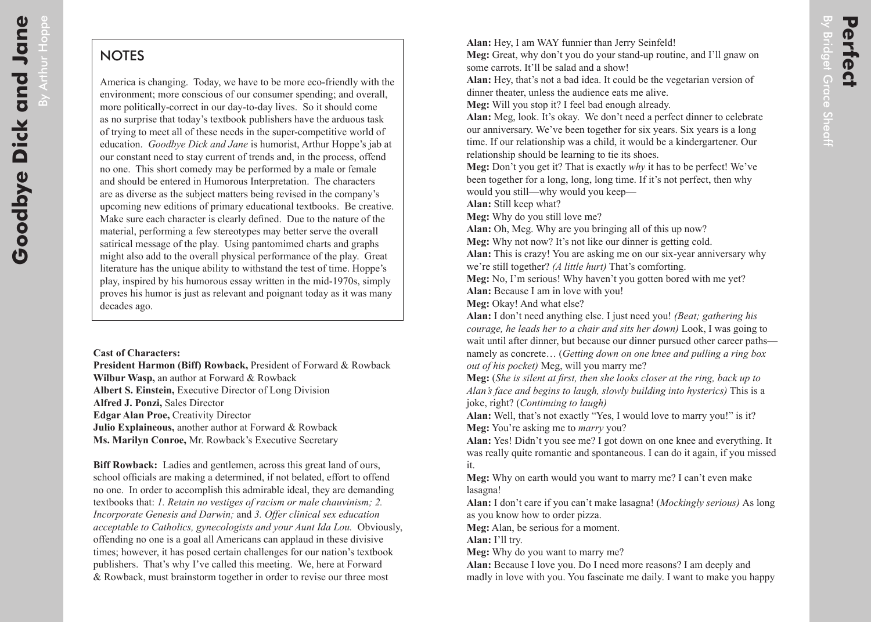By Arthur Hoppe

## **NOTES**

America is changing. Today, we have to be more eco-friendly with the environment; more conscious of our consumer spending; and overall, more politically-correct in our day-to-day lives. So it should come as no surprise that today's textbook publishers have the arduous task of trying to meet all of these needs in the super-competitive world of education. *Goodbye Dick and Jane* is humorist, Arthur Hoppe's jab at our constant need to stay current of trends and, in the process, offend no one. This short comedy may be performed by a male or female and should be entered in Humorous Interpretation. The characters are as diverse as the subject matters being revised in the company's upcoming new editions of primary educational textbooks. Be creative. Make sure each character is clearly defined. Due to the nature of the material, performing a few stereotypes may better serve the overall satirical message of the play. Using pantomimed charts and graphs might also add to the overall physical performance of the play. Great literature has the unique ability to withstand the test of time. Hoppe's play, inspired by his humorous essay written in the mid-1970s, simply proves his humor is just as relevant and poignant today as it was many decades ago.

## **Cast of Characters:**

**President Harmon (Biff) Rowback,** President of Forward & Rowback **Wilbur Wasp,** an author at Forward & Rowback **Albert S. Einstein,** Executive Director of Long Division **Alfred J. Ponzi,** Sales Director **Edgar Alan Proe,** Creativity Director **Julio Explaineous,** another author at Forward & Rowback **Ms. Marilyn Conroe,** Mr. Rowback's Executive Secretary

**Biff Rowback:** Ladies and gentlemen, across this great land of ours, school officials are making a determined, if not belated, effort to offend no one. In order to accomplish this admirable ideal, they are demanding textbooks that: *1. Retain no vestiges of racism or male chauvinism; 2. Incorporate Genesis and Darwin;* and *3. Offer clinical sex education acceptable to Catholics, gynecologists and your Aunt Ida Lou.* Obviously, offending no one is a goal all Americans can applaud in these divisive times; however, it has posed certain challenges for our nation's textbook publishers. That's why I've called this meeting. We, here at Forward & Rowback, must brainstorm together in order to revise our three most